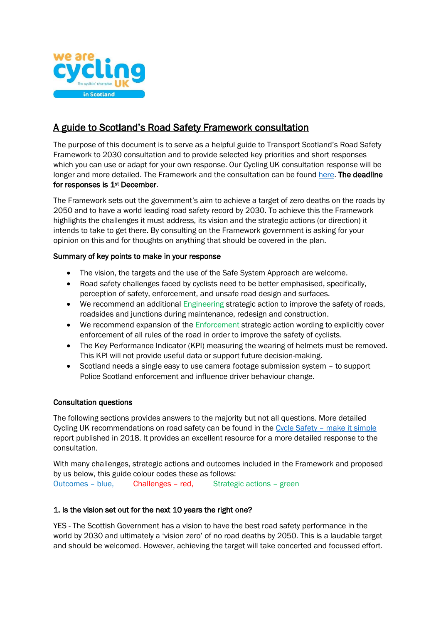

# A guide to Scotland's Road Safety Framework consultation

The purpose of this document is to serve as a helpful guide to Transport Scotland's Road Safety Framework to 2030 consultation and to provide selected key priorities and short responses which you can use or adapt for your own response. Our Cycling UK consultation response will be longer and more detailed. The Framework and the consultation can be found [here.](https://consult.gov.scot/transport-scotland/road-safety-framework-to-2030/) The deadline for responses is 1<sup>st</sup> December.

The Framework sets out the government's aim to achieve a target of zero deaths on the roads by 2050 and to have a world leading road safety record by 2030. To achieve this the Framework highlights the challenges it must address, its vision and the strategic actions (or direction) it intends to take to get there. By consulting on the Framework government is asking for your opinion on this and for thoughts on anything that should be covered in the plan.

# Summary of key points to make in your response

- The vision, the targets and the use of the Safe System Approach are welcome.
- Road safety challenges faced by cyclists need to be better emphasised, specifically, perception of safety, enforcement, and unsafe road design and surfaces.
- We recommend an additional Engineering strategic action to improve the safety of roads, roadsides and junctions during maintenance, redesign and construction.
- We recommend expansion of the Enforcement strategic action wording to explicitly cover enforcement of all rules of the road in order to improve the safety of cyclists.
- The Key Performance Indicator (KPI) measuring the wearing of helmets must be removed. This KPI will not provide useful data or support future decision-making.
- Scotland needs a single easy to use camera footage submission system to support Police Scotland enforcement and influence driver behaviour change.

# Consultation questions

The following sections provides answers to the majority but not all questions. More detailed Cycling UK recommendations on road safety can be found in the Cycle Safety – [make it simple](https://www.cyclinguk.org/sites/default/files/document/2018/04/1804_cyclinguk_cycle-safety-make-it-simple.pdf) report published in 2018. It provides an excellent resource for a more detailed response to the consultation.

With many challenges, strategic actions and outcomes included in the Framework and proposed by us below, this guide colour codes these as follows:

Outcomes – blue, Challenges – red, Strategic actions – green

# 1. Is the vision set out for the next 10 years the right one?

YES - The Scottish Government has a vision to have the best road safety performance in the world by 2030 and ultimately a 'vision zero' of no road deaths by 2050. This is a laudable target and should be welcomed. However, achieving the target will take concerted and focussed effort.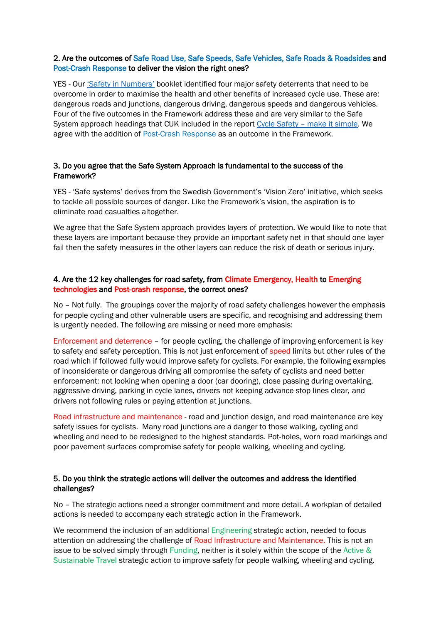# 2. Are the outcomes of Safe Road Use, Safe Speeds, Safe Vehicles, Safe Roads & Roadsides and Post-Crash Response to deliver the vision the right ones?

YES - Our ['Safety in Numbers'](https://www.cyclinguk.org/sites/default/files/document/migrated/campaign/ctc_safety_in_numbers_0.pdf) booklet identified four major safety deterrents that need to be overcome in order to maximise the health and other benefits of increased cycle use. These are: dangerous roads and junctions, dangerous driving, dangerous speeds and dangerous vehicles. Four of the five outcomes in the Framework address these and are very similar to the Safe System approach headings that CUK included in the report Cycle Safety – [make it simple.](https://www.cyclinguk.org/sites/default/files/document/2018/04/1804_cyclinguk_cycle-safety-make-it-simple.pdf) We agree with the addition of Post-Crash Response as an outcome in the Framework.

# 3. Do you agree that the Safe System Approach is fundamental to the success of the Framework?

YES - 'Safe systems' derives from the Swedish Government's 'Vision Zero' initiative, which seeks to tackle all possible sources of danger. Like the Framework's vision, the aspiration is to eliminate road casualties altogether.

We agree that the Safe System approach provides layers of protection. We would like to note that these layers are important because they provide an important safety net in that should one layer fail then the safety measures in the other layers can reduce the risk of death or serious injury.

# 4. Are the 12 key challenges for road safety, from Climate Emergency, Health to Emerging technologies and Post-crash response, the correct ones?

No – Not fully. The groupings cover the majority of road safety challenges however the emphasis for people cycling and other vulnerable users are specific, and recognising and addressing them is urgently needed. The following are missing or need more emphasis:

Enforcement and deterrence – for people cycling, the challenge of improving enforcement is key to safety and safety perception. This is not just enforcement of speed limits but other rules of the road which if followed fully would improve safety for cyclists. For example, the following examples of inconsiderate or dangerous driving all compromise the safety of cyclists and need better enforcement: not looking when opening a door (car dooring), close passing during overtaking, aggressive driving, parking in cycle lanes, drivers not keeping advance stop lines clear, and drivers not following rules or paying attention at junctions.

Road infrastructure and maintenance - road and junction design, and road maintenance are key safety issues for cyclists. Many road junctions are a danger to those walking, cycling and wheeling and need to be redesigned to the highest standards. Pot-holes, worn road markings and poor pavement surfaces compromise safety for people walking, wheeling and cycling.

# 5. Do you think the strategic actions will deliver the outcomes and address the identified challenges?

No – The strategic actions need a stronger commitment and more detail. A workplan of detailed actions is needed to accompany each strategic action in the Framework.

We recommend the inclusion of an additional Engineering strategic action, needed to focus attention on addressing the challenge of Road Infrastructure and Maintenance. This is not an issue to be solved simply through Funding, neither is it solely within the scope of the Active  $\&$ Sustainable Travel strategic action to improve safety for people walking, wheeling and cycling.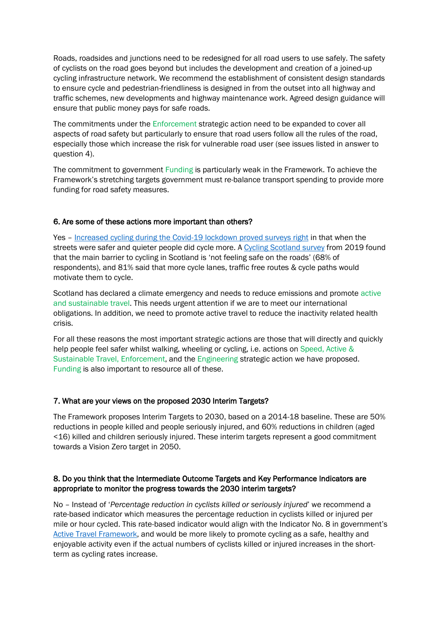Roads, roadsides and junctions need to be redesigned for all road users to use safely. The safety of cyclists on the road goes beyond but includes the development and creation of a joined-up cycling infrastructure network. We recommend the establishment of consistent design standards to ensure cycle and pedestrian-friendliness is designed in from the outset into all highway and traffic schemes, new developments and highway maintenance work. Agreed design guidance will ensure that public money pays for safe roads.

The commitments under the Enforcement strategic action need to be expanded to cover all aspects of road safety but particularly to ensure that road users follow all the rules of the road, especially those which increase the risk for vulnerable road user (see issues listed in answer to question 4).

The commitment to government Funding is particularly weak in the Framework. To achieve the Framework's stretching targets government must re-balance transport spending to provide more funding for road safety measures.

## 6. Are some of these actions more important than others?

Yes – Increased cycling during [the Covid-19 lockdown proved surveys right](https://www.cyclinguk.org/blog/increased-cycling-during-scotlands-lockdown-proves-surveys-right) in that when the streets were safer and quieter people did cycle more. A [Cycling Scotland survey](https://www.cycling.scot/mediaLibrary/other/english/7268.pdf) from 2019 found that the main barrier to cycling in Scotland is 'not feeling safe on the roads' (68% of respondents), and 81% said that more cycle lanes, traffic free routes & cycle paths would motivate them to cycle.

Scotland has declared a climate emergency and needs to reduce emissions and promote active and sustainable travel. This needs urgent attention if we are to meet our international obligations. In addition, we need to promote active travel to reduce the inactivity related health crisis.

For all these reasons the most important strategic actions are those that will directly and quickly help people feel safer whilst walking, wheeling or cycling, i.e. actions on Speed, Active & Sustainable Travel, Enforcement, and the Engineering strategic action we have proposed. Funding is also important to resource all of these.

## 7. What are your views on the proposed 2030 Interim Targets?

The Framework proposes Interim Targets to 2030, based on a 2014-18 baseline. These are 50% reductions in people killed and people seriously injured, and 60% reductions in children (aged <16) killed and children seriously injured. These interim targets represent a good commitment towards a Vision Zero target in 2050.

# 8. Do you think that the Intermediate Outcome Targets and Key Performance Indicators are appropriate to monitor the progress towards the 2030 interim targets?

No – Instead of '*Percentage reduction in cyclists killed or seriously injured*' we recommend a rate-based indicator which measures the percentage reduction in cyclists killed or injured per mile or hour cycled. This rate-based indicator would align with the Indicator No. 8 in government's [Active Travel Framework,](https://www.transport.gov.scot/media/47158/sct09190900361.pdf) and would be more likely to promote cycling as a safe, healthy and enjoyable activity even if the actual numbers of cyclists killed or injured increases in the shortterm as cycling rates increase.